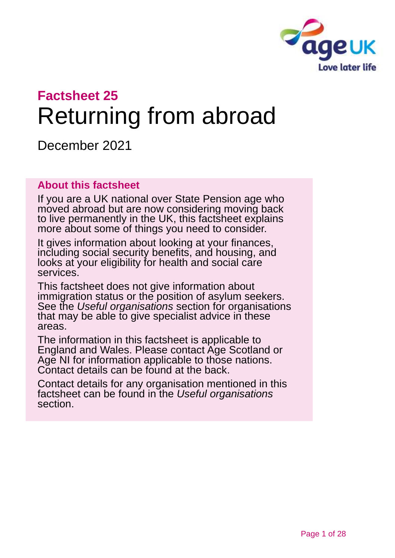

# **Factsheet 25** Returning from abroad

December 2021

#### **About this factsheet**

If you are a UK national over State Pension age who moved abroad but are now considering moving back to live permanently in the UK, this factsheet explains more about some of things you need to consider.

It gives information about looking at your finances, including social security benefits, and housing, and looks at your eligibility for health and social care services.

This factsheet does not give information about immigration status or the position of asylum seekers. See the *[Useful organisations](#page-20-0)* section for organisations that may be able to give specialist advice in these areas.

The information in this factsheet is applicable to England and Wales. Please contact [Age Scotland or](#page-26-0)  [Age NI](#page-26-0) for information applicable to those nations. Contact details can be found at the back.

Contact details for any organisation mentioned in this factsheet can be found in the *[Useful organisations](#page-20-0)* section.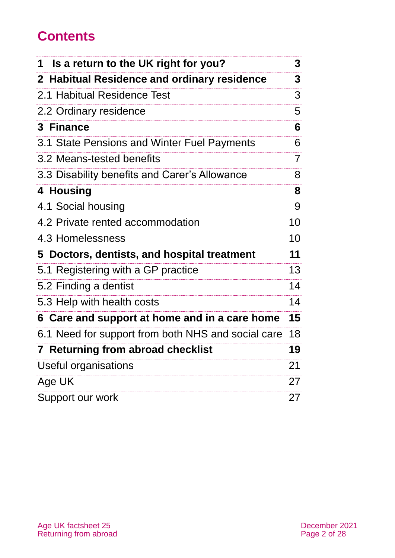# **Contents**

| Is a return to the UK right for you?<br>1          | 3  |
|----------------------------------------------------|----|
| 2 Habitual Residence and ordinary residence        | 3  |
| 2.1 Habitual Residence Test                        | 3  |
| 2.2 Ordinary residence                             | 5  |
| 3 Finance                                          | 6  |
| 3.1 State Pensions and Winter Fuel Payments        | 6  |
| 3.2 Means-tested benefits                          | 7  |
| 3.3 Disability benefits and Carer's Allowance      | 8  |
| 4 Housing                                          | 8  |
| 4.1 Social housing                                 | 9  |
| 4.2 Private rented accommodation                   | 10 |
| 4.3 Homelessness                                   | 10 |
| 5 Doctors, dentists, and hospital treatment        | 11 |
| 5.1 Registering with a GP practice                 | 13 |
| 5.2 Finding a dentist                              | 14 |
| 5.3 Help with health costs                         | 14 |
| 6 Care and support at home and in a care home      | 15 |
| 6.1 Need for support from both NHS and social care | 18 |
| 7 Returning from abroad checklist                  | 19 |
| Useful organisations                               | 21 |
| Age UK                                             | 27 |
| Support our work                                   | 27 |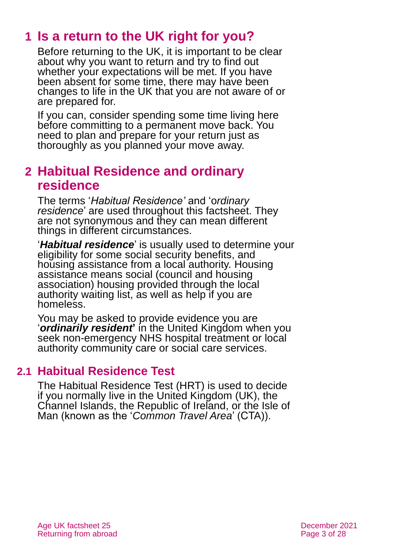### <span id="page-2-0"></span>**1 Is a return to the UK right for you?**

Before returning to the UK, it is important to be clear about why you want to return and try to find out whether your expectations will be met. If you have been absent for some time, there may have been changes to life in the UK that you are not aware of or are prepared for.

If you can, consider spending some time living here before committing to a permanent move back. You need to plan and prepare for your return just as thoroughly as you planned your move away.

### <span id="page-2-1"></span>**2 Habitual Residence and ordinary residence**

The terms '*Habitual Residence'* and 'o*rdinary*  residence' are used throughout this factsheet. They are not synonymous and they can mean different things in different circumstances.

'*Habitual residence*' is usually used to determine your eligibility for some social security benefits, and housing assistance from a local authority. Housing assistance means social (council and housing association) housing provided through the local authority waiting list, as well as help if you are homeless.

You may be asked to provide evidence you are '*ordinarily resident***'** in the United Kingdom when you seek non-emergency NHS hospital treatment or local authority community care or social care services.

#### **2.1 Habitual Residence Test**

The Habitual Residence Test (HRT) is used to decide if you normally live in the United Kingdom (UK), the Channel Islands, the Republic of Ireland, or the Isle of Man (known as the '*Common Travel Area*' (CTA)).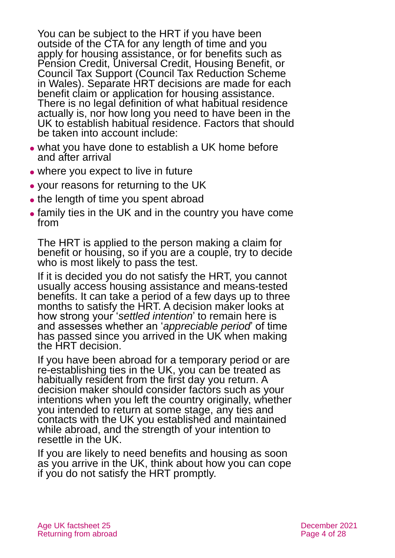You can be subject to the HRT if you have been outside of the CTA for any length of time and you apply for housing assistance, or for benefits such as Pension Credit, Universal Credit, Housing Benefit, or Council Tax Support (Council Tax Reduction Scheme in Wales). Separate HRT decisions are made for each benefit claim or application for housing assistance. There is no legal definition of what habitual residence actually is, nor how long you need to have been in the UK to establish habitual residence. Factors that should be taken into account include:

- what you have done to establish a UK home before and after arrival
- where you expect to live in future
- ⚫ your reasons for returning to the UK
- the length of time you spent abroad
- ⚫ family ties in the UK and in the country you have come from

The HRT is applied to the person making a claim for benefit or housing, so if you are a couple, try to decide who is most likely to pass the test.

If it is decided you do not satisfy the HRT, you cannot usually access housing assistance and means-tested benefits. It can take a period of a few days up to three months to satisfy the HRT. A decision maker looks at how strong your '*settled intention*' to remain here is and assesses whether an '*appreciable period*' of time has passed since you arrived in the UK when making the HRT decision.

If you have been abroad for a temporary period or are re-establishing ties in the UK, you can be treated as habitually resident from the first day you return. A decision maker should consider factors such as your intentions when you left the country originally, whether you intended to return at some stage, any ties and contacts with the UK you established and maintained while abroad, and the strength of your intention to resettle in the UK.

If you are likely to need benefits and housing as soon as you arrive in the UK, think about how you can cope if you do not satisfy the HRT promptly.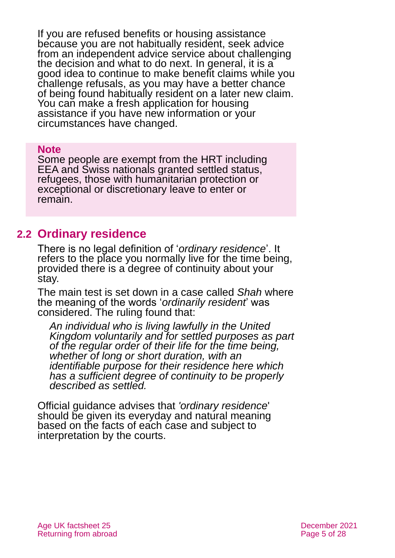If you are refused benefits or housing assistance because you are not habitually resident, seek advice from an independent advice service about challenging the decision and what to do next. In general, it is a good idea to continue to make benefit claims while you challenge refusals, as you may have a better chance of being found habitually resident on a later new claim. You can make a fresh application for housing assistance if you have new information or your circumstances have changed.

**Note**

Some people are exempt from the HRT including EEA and Swiss nationals granted settled status, refugees, those with humanitarian protection or exceptional or discretionary leave to enter or remain.

### <span id="page-4-0"></span>**2.2 Ordinary residence**

There is no legal definition of '*ordinary residence*'. It refers to the place you normally live for the time being, provided there is a degree of continuity about your stay.

The main test is set down in a case called *Shah* where the meaning of the words '*ordinarily resident*' was considered. The ruling found that:

*An individual who is living lawfully in the United Kingdom voluntarily and for settled purposes as part of the regular order of their life for the time being, whether of long or short duration, with an identifiable purpose for their residence here which has a sufficient degree of continuity to be properly described as settled.*

Official guidance advises that *'ordinary residence*' should be given its everyday and natural meaning based on the facts of each case and subject to interpretation by the courts.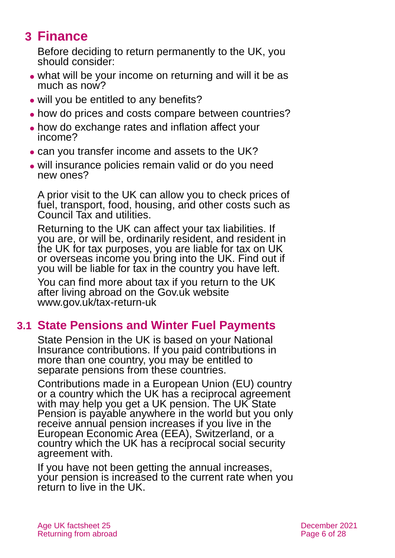### <span id="page-5-0"></span>**3 Finance**

Before deciding to return permanently to the UK, you should consider:

- ⚫ what will be your income on returning and will it be as much as now?
- will you be entitled to any benefits?
- how do prices and costs compare between countries?
- ⚫ how do exchange rates and inflation affect your income?
- ⚫ can you transfer income and assets to the UK?
- ⚫ will insurance policies remain valid or do you need new ones?

A prior visit to the UK can allow you to check prices of fuel, transport, food, housing, and other costs such as Council Tax and utilities.

Returning to the UK can affect your tax liabilities. If you are, or will be, ordinarily resident, and resident in the UK for tax purposes, you are liable for tax on UK or overseas income you bring into the UK. Find out if you will be liable for tax in the country you have left.

You can find more about tax if you return to the UK after living abroad on the Gov.uk website [www.gov.uk/tax-return-uk](http://www.gov.uk/tax-return-uk)

### **3.1 State Pensions and Winter Fuel Payments**

State Pension in the UK is based on your National Insurance contributions. If you paid contributions in more than one country, you may be entitled to separate pensions from these countries.

Contributions made in a European Union (EU) country or a country which the UK has a reciprocal agreement with may help you get a UK pension. The UK State Pension is payable anywhere in the world but you only receive annual pension increases if you live in the European Economic Area (EEA), Switzerland, or a country which the UK has a reciprocal social security agreement with.

If you have not been getting the annual increases, your pension is increased to the current rate when you return to live in the UK.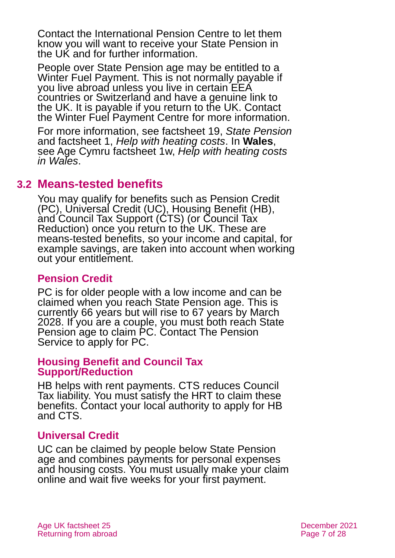Contact the [International Pension Centre](https://www.gov.uk/international-pension-centre) to let them know you will want to receive your State Pension in the UK and for further information.

People over State Pension age may be entitled to a Winter Fuel Payment. This is not normally payable if you live abroad unless you live in certain EEA countries or Switzerland and have a genuine link to the UK. It is payable if you return to the UK. Contact the [Winter Fuel Payment Centre](#page-24-0) for more information.

For more information, see factsheet 19, *[State Pension](https://www.ageuk.org.uk/globalassets/age-uk/documents/factsheets/fs19_state_pension_fcs.pdf)* and factsheet 1, *[Help with heating costs](https://www.ageuk.org.uk/globalassets/age-uk/documents/factsheets/fs1_help_with_heating_costs_fcs.pdf)*. In **Wales**, see [Age Cymru factsheet 1w,](https://www.ageuk.org.uk/globalassets/age-cymru/documents/information-guides-and-factsheets/fs1w.pdf) *Help with heating costs [in Wales](https://www.ageuk.org.uk/globalassets/age-cymru/documents/information-guides-and-factsheets/fs1w.pdf)*.

#### **3.2 Means-tested benefits**

You may qualify for benefits such as Pension Credit (PC), Universal Credit (UC), Housing Benefit (HB), and Council Tax Support (CTS) (or Council Tax Reduction) once you return to the UK. These are means-tested benefits, so your income and capital, for example savings, are taken into account when working out your entitlement.

#### **Pension Credit**

PC is for older people with a low income and can be claimed when you reach State Pension age. This is currently 66 years but will rise to 67 years by March 2028. If you are a couple, you must both reach State Pension age to claim PC. Contact [The Pension](#page-23-0)  [Service](#page-23-0) to apply for PC.

#### **Housing Benefit and Council Tax Support/Reduction**

HB helps with rent payments. CTS reduces Council Tax liability. You must satisfy the HRT to claim these benefits. Contact your local authority to apply for HB and CTS.

#### **Universal Credit**

UC can be claimed by people below State Pension age and combines payments for personal expenses and housing costs. You must usually make your claim online and wait five weeks for your first payment.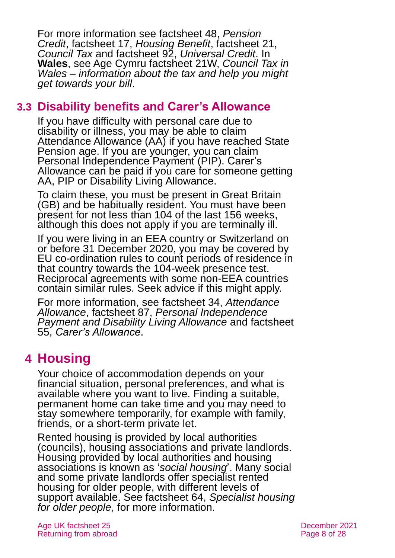For more information see [factsheet 48,](https://www.ageuk.org.uk/globalassets/age-uk/documents/factsheets/fs48_pension_credit_fcs.pdf) *Pension [Credit](https://www.ageuk.org.uk/globalassets/age-uk/documents/factsheets/fs48_pension_credit_fcs.pdf)*, factsheet 17, *[Housing Benefit](https://www.ageuk.org.uk/globalassets/age-uk/documents/factsheets/fs17_housing_benefit_fcs.pdf)*, [factsheet 21,](https://www.ageuk.org.uk/globalassets/age-uk/documents/factsheets/fs21_council_tax_fcs.pdf)  *[Council Tax](https://www.ageuk.org.uk/globalassets/age-uk/documents/factsheets/fs21_council_tax_fcs.pdf)* and factsheet 92, *[Universal Credit](https://www.ageuk.org.uk/globalassets/age-uk/documents/factsheets/fs92_universal_credit_fcs.pdf)*. In **Wales**, see Age Cymru [factsheet 21W,](https://www.ageuk.org.uk/globalassets/age-cymru/documents/information-guides-and-factsheets/fs21w.pdf) *Council Tax in [Wales](https://www.ageuk.org.uk/globalassets/age-cymru/documents/information-guides-and-factsheets/fs21w.pdf) – information about the tax and help you might get towards your bill*.

#### **3.3 Disability benefits and Carer's Allowance**

If you have difficulty with personal care due to disability or illness, you may be able to claim Attendance Allowance (AA) if you have reached State Pension age. If you are younger, you can claim Personal Independence Payment (PIP). Carer's Allowance can be paid if you care for someone getting AA, PIP or Disability Living Allowance.

To claim these, you must be present in Great Britain (GB) and be habitually resident. You must have been present for not less than 104 of the last 156 weeks, although this does not apply if you are terminally ill.

If you were living in an EEA country or Switzerland on or before 31 December 2020, you may be covered by EU co-ordination rules to count periods of residence in that country towards the 104-week presence test. Reciprocal agreements with some non-EEA countries contain similar rules. Seek advice if this might apply.

For more information, see [factsheet 34,](https://www.ageuk.org.uk/globalassets/age-uk/documents/factsheets/fs34_attendance_allowance_fcs.pdf) *Attendance [Allowance](https://www.ageuk.org.uk/globalassets/age-uk/documents/factsheets/fs34_attendance_allowance_fcs.pdf)*, factsheet 87, *[Personal Independence](https://www.ageuk.org.uk/globalassets/age-uk/documents/factsheets/fs87_personal_independence_payment_fcs.pdf)  [Payment and Disability Living Allowance](https://www.ageuk.org.uk/globalassets/age-uk/documents/factsheets/fs87_personal_independence_payment_fcs.pdf)* and [factsheet](https://www.ageuk.org.uk/globalassets/age-uk/documents/factsheets/fs55_carers_allowance_fcs.pdf)  55, *[Carer's Allowance](https://www.ageuk.org.uk/globalassets/age-uk/documents/factsheets/fs55_carers_allowance_fcs.pdf)*.

### <span id="page-7-0"></span>**4 Housing**

Your choice of accommodation depends on your financial situation, personal preferences, and what is available where you want to live. Finding a suitable, permanent home can take time and you may need to stay somewhere temporarily, for example with family, friends, or a short-term private let.

Rented housing is provided by local authorities (councils), housing associations and private landlords. Housing provided by local authorities and housing associations is known as '*social housing*'. Many social and some private landlords offer specialist rented housing for older people, with different levels of support available. See factsheet 64, *[Specialist housing](https://www.ageuk.org.uk/globalassets/age-uk/documents/factsheets/fs64_specialist_housing_for_older_people_fcs.pdf)  [for older people](https://www.ageuk.org.uk/globalassets/age-uk/documents/factsheets/fs64_specialist_housing_for_older_people_fcs.pdf)*, for more information.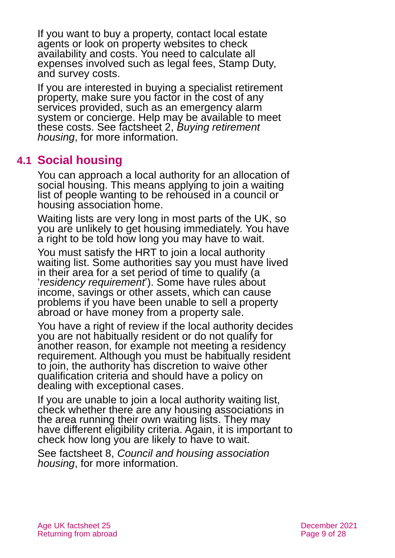If you want to buy a property, contact local estate agents or look on property websites to check availability and costs. You need to calculate all expenses involved such as legal fees, Stamp Duty, and survey costs.

If you are interested in buying a specialist retirement property, make sure you factor in the cost of any services provided, such as an emergency alarm system or concierge. Help may be available to meet these costs. See factsheet 2, *[Buying retirement](https://www.ageuk.org.uk/globalassets/age-uk/documents/factsheets/fs2_buying_retirement_housing_fcs.pdf)  [housing](https://www.ageuk.org.uk/globalassets/age-uk/documents/factsheets/fs2_buying_retirement_housing_fcs.pdf)*, for more information.

### **4.1 Social housing**

You can approach a local authority for an allocation of social housing. This means applying to join a waiting list of people wanting to be rehoused in a council or housing association home.

Waiting lists are very long in most parts of the UK, so you are unlikely to get housing immediately. You have a right to be told how long you may have to wait.

You must satisfy the HRT to join a local authority waiting list. Some authorities say you must have lived in their area for a set period of time to qualify (a '*residency requirement*'). Some have rules about income, savings or other assets, which can cause problems if you have been unable to sell a property abroad or have money from a property sale.

You have a right of review if the local authority decides you are not habitually resident or do not qualify for another reason, for example not meeting a residency requirement. Although you must be habitually resident to join, the authority has discretion to waive other qualification criteria and should have a policy on dealing with exceptional cases.

If you are unable to join a local authority waiting list, check whether there are any housing associations in the area running their own waiting lists. They may have different eligibility criteria. Again, it is important to check how long you are likely to have to wait.

See factsheet 8, *[Council and housing association](https://www.ageuk.org.uk/globalassets/age-uk/documents/factsheets/fs8_council_and_housing_association_housing_fcs.pdf)  [housing](https://www.ageuk.org.uk/globalassets/age-uk/documents/factsheets/fs8_council_and_housing_association_housing_fcs.pdf)*, for more information.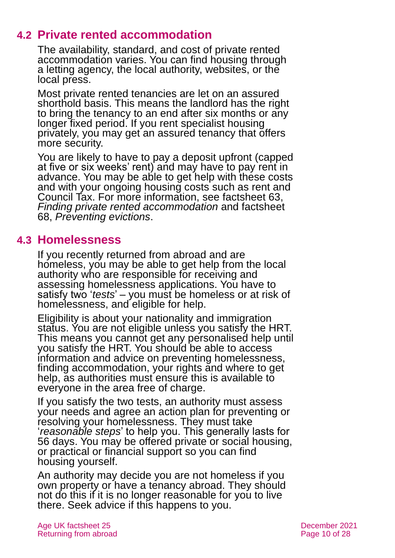### **4.2 Private rented accommodation**

The availability, standard, and cost of private rented accommodation varies. You can find housing through a letting agency, the local authority, websites, or the local press.

Most private rented tenancies are let on an assured shorthold basis. This means the landlord has the right to bring the tenancy to an end after six months or any longer fixed period. If you rent specialist housing privately, you may get an assured tenancy that offers more security.

You are likely to have to pay a deposit upfront (capped at five or six weeks' rent) and may have to pay rent in advance. You may be able to get help with these costs and with your ongoing housing costs such as rent and Council Tax. For more information, see [factsheet 63,](https://www.ageuk.org.uk/globalassets/age-uk/documents/factsheets/fs63_finding_private_rented_accommodation_fcs.pdf) *[Finding private rented accommodation](https://www.ageuk.org.uk/globalassets/age-uk/documents/factsheets/fs63_finding_private_rented_accommodation_fcs.pdf)* and factsheet 68, *[Preventing evictions](https://www.ageuk.org.uk/globalassets/age-uk/documents/factsheets/fs68_tenancy_rights_security_of_tenure_fcs.pdf)*.

#### **4.3 Homelessness**

If you recently returned from abroad and are homeless, you may be able to get help from the local authority who are responsible for receiving and assessing homelessness applications. You have to satisfy two '*tests*' – you must be homeless or at risk of homelessness, and eligible for help.

Eligibility is about your nationality and immigration status. You are not eligible unless you satisfy the HRT. This means you cannot get any personalised help until you satisfy the HRT. You should be able to access information and advice on preventing homelessness, finding accommodation, your rights and where to get help, as authorities must ensure this is available to everyone in the area free of charge.

If you satisfy the two tests, an authority must assess your needs and agree an action plan for preventing or resolving your homelessness. They must take '*reasonable steps*' to help you. This generally lasts for 56 days. You may be offered private or social housing, or practical or financial support so you can find housing yourself.

An authority may decide you are not homeless if you own property or have a tenancy abroad. They should not do this if it is no longer reasonable for you to live there. Seek advice if this happens to you.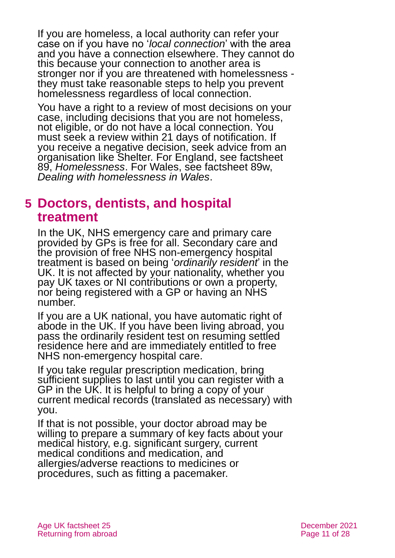If you are homeless, a local authority can refer your case on if you have no '*local connection*' with the area and you have a connection elsewhere. They cannot do this because your connection to another area is stronger nor if you are threatened with homelessness they must take reasonable steps to help you prevent homelessness regardless of local connection.

You have a right to a review of most decisions on your case, including decisions that you are not homeless, not eligible, or do not have a local connection. You must seek a review within 21 days of notification. If you receive a negative decision, seek advice from an organisation like [Shelter.](#page-24-1) For England, see factsheet 89, *[Homelessness](https://www.ageuk.org.uk/globalassets/age-uk/documents/factsheets/fs89_homelessness_fcs.pdf)*. For Wales, see factsheet 89w, *[Dealing with homelessness in Wales](https://www.ageuk.org.uk/globalassets/age-cymru/documents/information-guides-and-factsheets/fs89w.pdf)*.

### <span id="page-10-0"></span>**5 Doctors, dentists, and hospital treatment**

In the UK, NHS emergency care and primary care provided by GPs is free for all. Secondary care and the provision of free NHS non-emergency hospital treatment is based on being '*ordinarily resident*' in the UK. It is not affected by your nationality, whether you pay UK taxes or NI contributions or own a property, nor being registered with a GP or having an NHS number.

If you are a UK national, you have automatic right of abode in the UK. If you have been living abroad, you pass the ordinarily resident test on resuming settled residence here and are immediately entitled to free NHS non-emergency hospital care.

If you take regular prescription medication, bring sufficient supplies to last until you can register with a GP in the UK. It is helpful to bring a copy of your current medical records (translated as necessary) with you.

If that is not possible, your doctor abroad may be willing to prepare a summary of key facts about your medical history, e.g. significant surgery, current medical conditions and medication, and allergies/adverse reactions to medicines or procedures, such as fitting a pacemaker.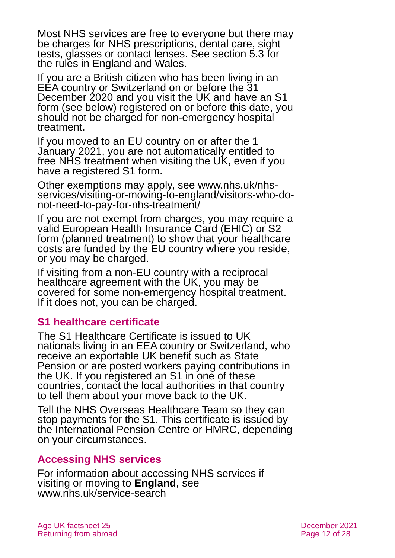Most NHS services are free to everyone but there may be charges for NHS prescriptions, dental care, sight tests, glasses or contact lenses. See [section 5.3](#page-13-0) for the rules in England and Wales.

If you are a British citizen who has been living in an EEA country or Switzerland on or before the 31 December 2020 and you visit the UK and have an S1 form (see below) registered on or before this date, you should not be charged for non-emergency hospital treatment.

If you moved to an EU country on or after the 1 January 2021, you are not automatically entitled to free NHS treatment when visiting the UK, even if you have a registered S1 form.

Other exemptions may apply, see [www.nhs.uk/nhs](http://www.nhs.uk/nhs-services/visiting-or-moving-to-england/visitors-who-do-not-need-to-pay-for-nhs-treatment/)[services/visiting-or-moving-to-england/visitors-who-do](http://www.nhs.uk/nhs-services/visiting-or-moving-to-england/visitors-who-do-not-need-to-pay-for-nhs-treatment/)[not-need-to-pay-for-nhs-treatment/](http://www.nhs.uk/nhs-services/visiting-or-moving-to-england/visitors-who-do-not-need-to-pay-for-nhs-treatment/)

If you are not exempt from charges, you may require a valid European Health Insurance Card (EHIC) or S2 form (planned treatment) to show that your healthcare costs are funded by the EU country where you reside, or you may be charged.

If visiting from a non-EU country with a reciprocal healthcare agreement with the UK, you may be covered for some non-emergency hospital treatment. If it does not, you can be charged.

#### **S1 healthcare certificate**

The S1 Healthcare Certificate is issued to UK nationals living in an EEA country or Switzerland, who receive an exportable UK benefit such as State Pension or are posted workers paying contributions in the UK. If you registered an S1 in one of these countries, contact the local authorities in that country to tell them about your move back to the UK.

Tell the [NHS Overseas Healthcare Team](https://www.nhsbsa.nhs.uk/contact-us/overseas-healthcare-services-contact-us) so they can stop payments for the S1. This certificate is issued by the International Pension Centre or HMRC, depending on your circumstances.

#### **Accessing NHS services**

For information about accessing NHS services if visiting or moving to **England**, see [www.nhs.uk/service-search](http://www.nhs.uk/service-search)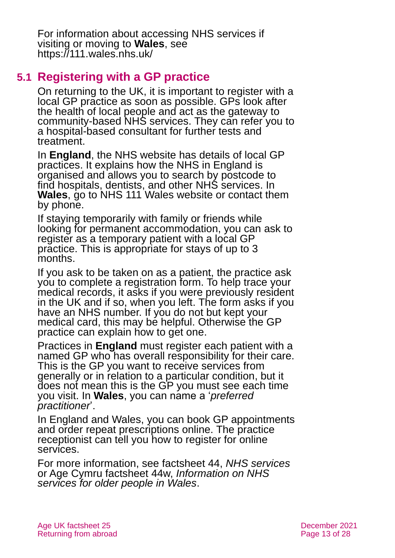For information about accessing NHS services if visiting or moving to **Wales**, see <https://111.wales.nhs.uk/>

### **5.1 Registering with a GP practice**

On returning to the UK, it is important to register with a local GP practice as soon as possible. GPs look after the health of local people and act as the gateway to community-based NHS services. They can refer you to a hospital-based consultant for further tests and treatment.

In **England**, the NHS website has details of local GP practices. It explains how the NHS in England is organised and allows you to search by postcode to find hospitals, dentists, and other NHS services. In **Wales**, go to NHS 111 Wales website or contact them by phone.

If staying temporarily with family or friends while looking for permanent accommodation, you can ask to register as a temporary patient with a local GP practice. This is appropriate for stays of up to 3 months.

If you ask to be taken on as a patient, the practice ask you to complete a registration form. To help trace your medical records, it asks if you were previously resident in the UK and if so, when you left. The form asks if you have an NHS number. If you do not but kept your medical card, this may be helpful. Otherwise the GP practice can explain how to get one.

Practices in **England** must register each patient with a named GP who has overall responsibility for their care. This is the GP you want to receive services from generally or in relation to a particular condition, but it does not mean this is the GP you must see each time you visit. In **Wales**, you can name a '*preferred practitioner*'.

In England and Wales, you can book GP appointments and order repeat prescriptions online. The practice receptionist can tell you how to register for online services.

For more information, see [factsheet 44,](https://www.ageuk.org.uk/globalassets/age-uk/documents/factsheets/fs44_nhs_services_fcs.pdf) *NHS services* or Age Cymru factsheet 44w, *[Information on NHS](https://www.ageuk.org.uk/globalassets/age-cymru/documents/information-guides-and-factsheets/fs44w.pdf)  [services for older people in Wales](https://www.ageuk.org.uk/globalassets/age-cymru/documents/information-guides-and-factsheets/fs44w.pdf)*.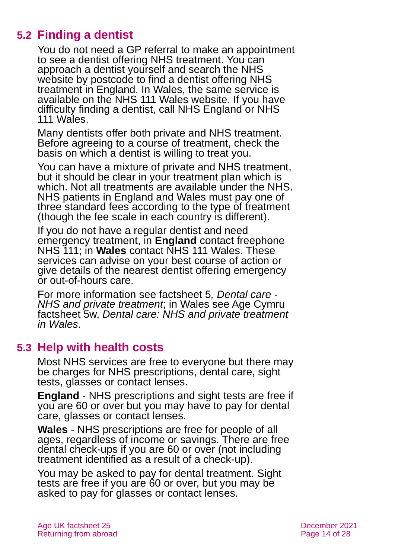### **5.2 Finding a dentist**

You do not need a GP referral to make an appointment to see a dentist offering NHS treatment. You can approach a dentist yourself and search the [NHS](https://www.nhs.uk/service-search/find-a-dentist)  [website](https://www.nhs.uk/service-search/find-a-dentist) by postcode to find a dentist offering NHS treatment in England. In Wales, the same service is available on the [NHS 111 Wales website.](https://111.wales.nhs.uk/?locale=en) If you have difficulty finding a dentist, call [NHS England](#page-23-1) or NHS 111 [Wales.](#page-23-2)

Many dentists offer both private and NHS treatment. Before agreeing to a course of treatment, check the basis on which a dentist is willing to treat you.

You can have a mixture of private and NHS treatment, but it should be clear in your treatment plan which is which. Not all treatments are available under the NHS. NHS patients in England and Wales must pay one of three standard fees according to the type of treatment (though the fee scale in each country is different).

If you do not have a regular dentist and need emergency treatment, in **England** contact freephone [NHS 111;](#page-22-0) in **Wales** contact [NHS 111](#page-23-2) Wales. These services can advise on your best course of action or give details of the nearest dentist offering emergency or out-of-hours care.

For more information see factsheet 5*[, Dental care](https://www.ageuk.org.uk/globalassets/age-uk/documents/factsheets/fs5_dental_care_nhs_and_private_treatment_fcs.pdf) - [NHS and private treatment](https://www.ageuk.org.uk/globalassets/age-uk/documents/factsheets/fs5_dental_care_nhs_and_private_treatment_fcs.pdf)*; in Wales see [Age Cymru](https://www.ageuk.org.uk/globalassets/age-cymru/documents/information-guides-and-factsheets/fs5w.pdf)  factsheet 5w, *[Dental care: NHS and private treatment](https://www.ageuk.org.uk/globalassets/age-cymru/documents/information-guides-and-factsheets/fs5w.pdf)  [in Wales](https://www.ageuk.org.uk/globalassets/age-cymru/documents/information-guides-and-factsheets/fs5w.pdf)*.

### <span id="page-13-0"></span>**5.3 Help with health costs**

Most NHS services are free to everyone but there may be charges for NHS prescriptions, dental care, sight tests, glasses or contact lenses.

**England** - NHS prescriptions and sight tests are free if you are 60 or over but you may have to pay for dental care, glasses or contact lenses.

**Wales** - NHS prescriptions are free for people of all ages, regardless of income or savings. There are free dental check-ups if you are 60 or over (not including treatment identified as a result of a check-up).

You may be asked to pay for dental treatment. Sight tests are free if you are 60 or over, but you may be asked to pay for glasses or contact lenses.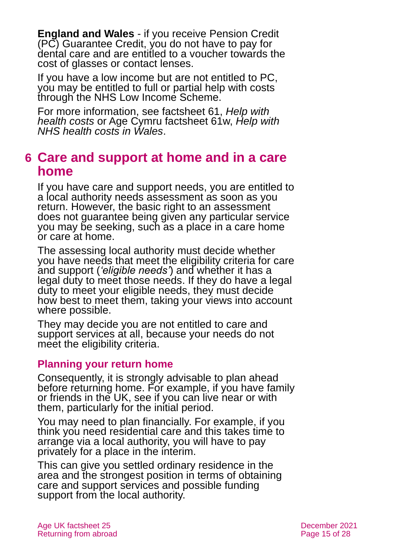**England and Wales** - if you receive Pension Credit (PC) Guarantee Credit, you do not have to pay for dental care and are entitled to a voucher towards the cost of glasses or contact lenses.

If you have a low income but are not entitled to PC, you may be entitled to full or partial help with costs through the NHS Low Income Scheme.

For more information, see [factsheet 61,](https://www.ageuk.org.uk/globalassets/age-uk/documents/factsheets/fs61_help_with_health_costs_fcs.pdf) *Help with [health costs](https://www.ageuk.org.uk/globalassets/age-uk/documents/factsheets/fs61_help_with_health_costs_fcs.pdf)* or [Age Cymru factsheet 61w,](https://www.ageuk.org.uk/globalassets/age-cymru/documents/information-guides-and-factsheets/fs61w.pdf) *Help with [NHS health costs in Wales](https://www.ageuk.org.uk/globalassets/age-cymru/documents/information-guides-and-factsheets/fs61w.pdf)*.

### <span id="page-14-0"></span>**6 Care and support at home and in a care home**

If you have care and support needs, you are entitled to a local authority needs assessment as soon as you return. However, the basic right to an assessment does not guarantee being given any particular service you may be seeking, such as a place in a care home or care at home.

The assessing local authority must decide whether you have needs that meet the eligibility criteria for care and support (*'eligible needs'*) and whether it has a legal duty to meet those needs. If they do have a legal duty to meet your eligible needs, they must decide how best to meet them, taking your views into account where possible.

They may decide you are not entitled to care and support services at all, because your needs do not meet the eligibility criteria.

#### **Planning your return home**

Consequently, it is strongly advisable to plan ahead before returning home. For example, if you have family or friends in the UK, see if you can live near or with them, particularly for the initial period.

You may need to plan financially. For example, if you think you need residential care and this takes time to arrange via a local authority, you will have to pay privately for a place in the interim.

This can give you settled ordinary residence in the area and the strongest position in terms of obtaining care and support services and possible funding support from the local authority.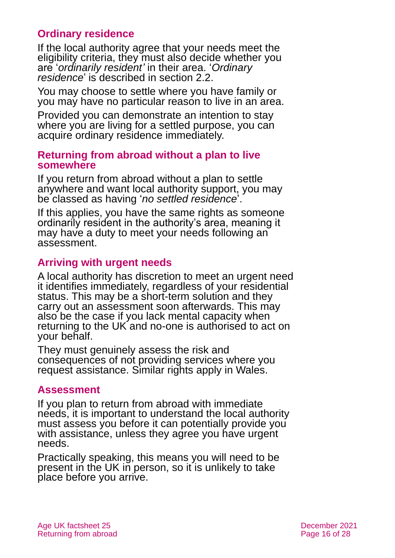#### **Ordinary residence**

If the local authority agree that your needs meet the eligibility criteria, they must also decide whether you are '*ordinarily resident'* in their area. '*Ordinary residence*' is described in [section 2.2.](#page-4-0)

You may choose to settle where you have family or you may have no particular reason to live in an area.

Provided you can demonstrate an intention to stay where you are living for a settled purpose, you can acquire ordinary residence immediately.

#### **Returning from abroad without a plan to live somewhere**

If you return from abroad without a plan to settle anywhere and want local authority support, you may be classed as having '*no settled residence*'.

If this applies, you have the same rights as someone ordinarily resident in the authority's area, meaning it may have a duty to meet your needs following an assessment.

#### **Arriving with urgent needs**

A local authority has discretion to meet an urgent need it identifies immediately, regardless of your residential status. This may be a short-term solution and they carry out an assessment soon afterwards. This may also be the case if you lack mental capacity when returning to the UK and no-one is authorised to act on your behalf.

They must genuinely assess the risk and consequences of not providing services where you request assistance. Similar rights apply in Wales.

#### **Assessment**

If you plan to return from abroad with immediate needs, it is important to understand the local authority must assess you before it can potentially provide you with assistance, unless they agree you have urgent needs.

Practically speaking, this means you will need to be present in the UK in person, so it is unlikely to take place before you arrive.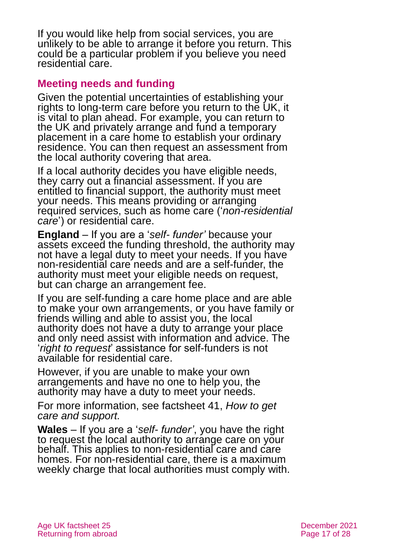If you would like help from social services, you are unlikely to be able to arrange it before you return. This could be a particular problem if you believe you need residential care.

#### **Meeting needs and funding**

Given the potential uncertainties of establishing your rights to long-term care before you return to the UK, it is vital to plan ahead. For example, you can return to the UK and privately arrange and fund a temporary placement in a care home to establish your ordinary residence. You can then request an assessment from the local authority covering that area.

If a local authority decides you have eligible needs, they carry out a financial assessment. If you are entitled to financial support, the authority must meet your needs. This means providing or arranging required services, such as home care ('*non-residential care*') or residential care.

**England** – If you are a '*self- funder'* because your assets exceed the funding threshold, the authority may not have a legal duty to meet your needs. If you have non-residential care needs and are a self-funder, the authority must meet your eligible needs on request, but can charge an arrangement fee.

If you are self-funding a care home place and are able to make your own arrangements, or you have family or friends willing and able to assist you, the local authority does not have a duty to arrange your place and only need assist with information and advice. The '*right to request*' assistance for self-funders is not available for residential care.

However, if you are unable to make your own arrangements and have no one to help you, the authority may have a duty to meet your needs.

For more information, see factsheet 41, *[How to get](https://www.ageuk.org.uk/globalassets/age-uk/documents/factsheets/fs41_how_to_get_care_and_support_fcs.pdf)  [care and support.](https://www.ageuk.org.uk/globalassets/age-uk/documents/factsheets/fs41_how_to_get_care_and_support_fcs.pdf)* 

**Wales** – If you are a '*self- funder'*, you have the right to request the local authority to arrange care on your behalf. This applies to non-residential care and care homes. For non-residential care, there is a maximum weekly charge that local authorities must comply with.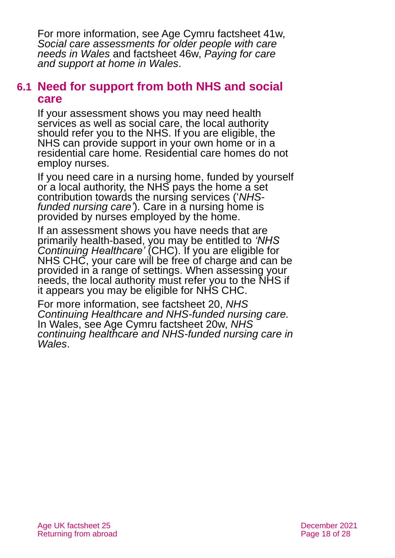For more information, see Age Cymru factsheet 41w, *[Social care assessments for older people with care](https://www.ageuk.org.uk/globalassets/age-cymru/documents/information-guides-and-factsheets/fs41w.pdf)  [needs in Wales](https://www.ageuk.org.uk/globalassets/age-cymru/documents/information-guides-and-factsheets/fs41w.pdf)* and factsheet 46w, *[Paying for care](https://www.ageuk.org.uk/globalassets/age-cymru/documents/information-guides-and-factsheets/fs46w.pdf)  [and support at home in Wales](https://www.ageuk.org.uk/globalassets/age-cymru/documents/information-guides-and-factsheets/fs46w.pdf)*.

#### **6.1 Need for support from both NHS and social care**

If your assessment shows you may need health services as well as social care, the local authority should refer you to the NHS. If you are eligible, the NHS can provide support in your own home or in a residential care home. Residential care homes do not employ nurses.

If you need care in a nursing home, funded by yourself or a local authority, the NHS pays the home a set contribution towards the nursing services ('*NHSfunded nursing care'*). Care in a nursing home is provided by nurses employed by the home.

If an assessment shows you have needs that are primarily health-based, you may be entitled to *'NHS Continuing Healthcare'* (CHC). If you are eligible for NHS CHC, your care will be free of charge and can be provided in a range of settings. When assessing your needs, the local authority must refer you to the NHS if it appears you may be eligible for NHS CHC.

For more information, see [factsheet 20,](https://www.ageuk.org.uk/globalassets/age-uk/documents/factsheets/fs20_nhs_continuing_healthcare_and_nhs-funded_nursing_care_fcs.pdf) *NHS [Continuing Healthcare and NHS-funded nursing care.](https://www.ageuk.org.uk/globalassets/age-uk/documents/factsheets/fs20_nhs_continuing_healthcare_and_nhs-funded_nursing_care_fcs.pdf)*  In Wales, see [Age Cymru factsheet 20w,](https://www.ageuk.org.uk/globalassets/age-cymru/documents/information-guides-and-factsheets/fs20w.pdf) *NHS [continuing healthcare and NHS-funded nursing care in](https://www.ageuk.org.uk/globalassets/age-cymru/documents/information-guides-and-factsheets/fs20w.pdf)  [Wales](https://www.ageuk.org.uk/globalassets/age-cymru/documents/information-guides-and-factsheets/fs20w.pdf)*.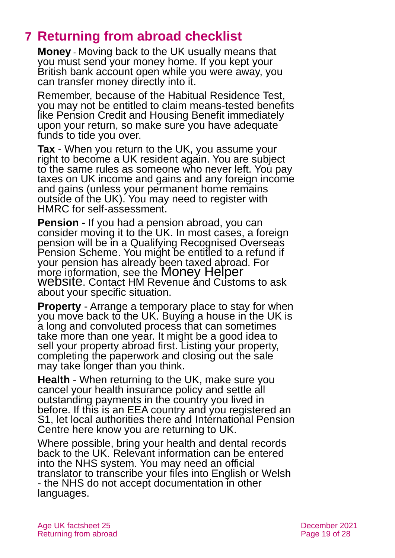## <span id="page-18-0"></span>**7 Returning from abroad checklist**

**Money** - Moving back to the UK usually means that you must send your money home. If you kept your British bank account open while you were away, you can transfer money directly into it.

Remember, because of the Habitual Residence Test, you may not be entitled to claim means-tested benefits like Pension Credit and Housing Benefit immediately upon your return, so make sure you have adequate funds to tide you over.

**Tax** - When you return to the UK, you assume your right to become a UK resident again. You are subject to the same rules as someone who never left. You pay taxes on UK income and gains and any foreign income and gains (unless your permanent home remains outside of the UK). You may need to register with HMRC for self-assessment.

**Pension -** If you had a pension abroad, you can consider moving it to the UK. In most cases, a foreign pension will be in a [Qualifying Recognised Overseas](https://www.gov.uk/guidance/check-the-recognised-overseas-pension-schemes-notification-list)  [Pension Scheme.](https://www.gov.uk/guidance/check-the-recognised-overseas-pension-schemes-notification-list) You might be entitled to a refund if your pension has already been taxed abroad. For more information, see the [Money Helper](https://www.moneyhelper.org.uk/en/pensions-and-retirement/building-your-retirement-pot/moving-your-uk-pension-overseas)  [website](https://www.moneyhelper.org.uk/en/pensions-and-retirement/building-your-retirement-pot/moving-your-uk-pension-overseas). Contact HM Revenue and Customs to ask about your specific situation.

**Property** - Arrange a temporary place to stay for when you move back to the UK. Buying a house in the UK is a long and convoluted process that can sometimes take more than one year. It might be a good idea to sell your property abroad first. Listing your property, completing the paperwork and closing out the sale may take longer than you think.

**Health** - When returning to the UK, make sure you cancel your health insurance policy and settle all outstanding payments in the country you lived in before. If this is an EEA country and you registered an S1, let local authorities there and [International Pension](https://www.gov.uk/international-pension-centre)  [Centre](https://www.gov.uk/international-pension-centre) here know you are returning to UK.

Where possible, bring your health and dental records back to the UK. Relevant information can be entered into the NHS system. You may need an official translator to transcribe your files into English or Welsh - the NHS do not accept documentation in other languages.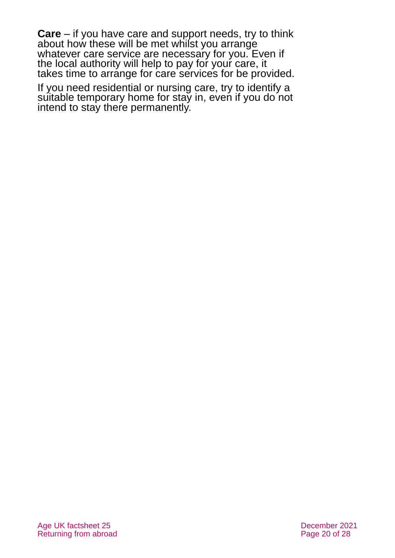**Care** – if you have care and support needs, try to think about how these will be met whilst you arrange whatever care service are necessary for you. Even if the local authority will help to pay for your care, it takes time to arrange for care services for be provided.

If you need residential or nursing care, try to identify a suitable temporary home for stay in, even if you do not intend to stay there permanently.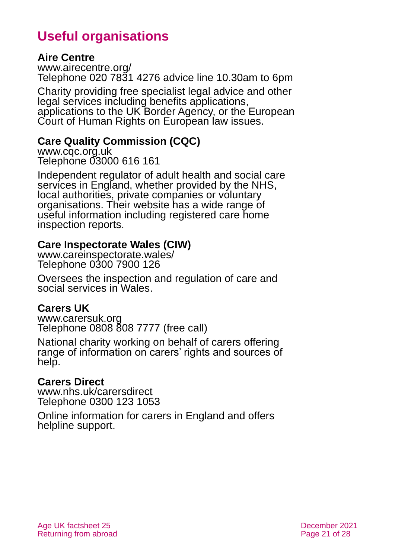# **Useful organisations**

#### <span id="page-20-0"></span>**Aire Centre**

[www.airecentre.org/](http://www.airecentre.org/) Telephone 020 7831 4276 advice line 10.30am to 6pm

Charity providing free specialist legal advice and other legal services including benefits applications, applications to the UK Border Agency, or the European Court of Human Rights on European law issues.

#### **Care Quality Commission (CQC)**

[www.cqc.org.uk](http://www.cqc.org.uk/) Telephone 03000 616 161

Independent regulator of adult health and social care services in England, whether provided by the NHS, local authorities, private companies or voluntary organisations. Their website has a wide range of useful information including registered care home inspection reports.

#### **Care Inspectorate Wales (CIW)**

[www.careinspectorate.wales/](http://www.careinspectorate.wales/) Telephone 0300 7900 126

Oversees the inspection and regulation of care and social services in Wales.

#### **Carers UK**

[www.carersuk.org](http://www.carersuk.org/) Telephone 0808 808 7777 (free call)

National charity working on behalf of carers offering range of information on carers' rights and sources of help.

#### **Carers Direct**

[www.nhs.uk/carersdirect](http://www.nhs.uk/carersdirect) Telephone 0300 123 1053

Online information for carers in England and offers helpline support.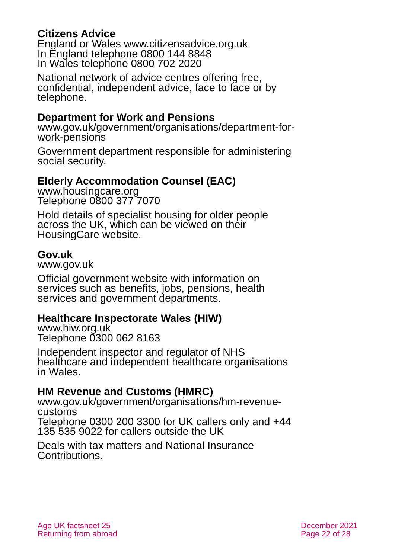#### **Citizens Advice**

England or Wales [www.citizensadvice.org.uk](http://www.citizensadvice.org.uk/) In England telephone 0800 144 8848 In Wales telephone 0800 702 2020

National network of advice centres offering free, confidential, independent advice, face to face or by telephone.

#### **Department for Work and Pensions**

[www.gov.uk/government/organisations/department-for](http://www.gov.uk/government/organisations/department-for-work-pensions)[work-pensions](http://www.gov.uk/government/organisations/department-for-work-pensions)

Government department responsible for administering social security.

#### **Elderly Accommodation Counsel (EAC)**

[www.housingcare.org](https://housingcare.org/) Telephone 0800 377 7070

Hold details of specialist housing for older people across the UK, which can be viewed on their HousingCare website.

#### **Gov.uk**

[www.gov.uk](http://www.gov.uk/)

Official government website with information on services such as benefits, jobs, pensions, health services and government departments.

#### **Healthcare Inspectorate Wales (HIW)**

[www.hiw.org.uk](http://www.hiw.org.uk/) Telephone 0300 062 8163

Independent inspector and regulator of NHS healthcare and independent healthcare organisations in Wales.

#### **HM Revenue and Customs (HMRC)**

[www.gov.uk/government/organisations/hm-revenue](http://www.gov.uk/government/organisations/hm-revenue-customs)[customs](http://www.gov.uk/government/organisations/hm-revenue-customs) Telephone 0300 200 3300 for UK callers only and +44 135 535 9022 for callers outside the UK

Deals with tax matters and National Insurance Contributions.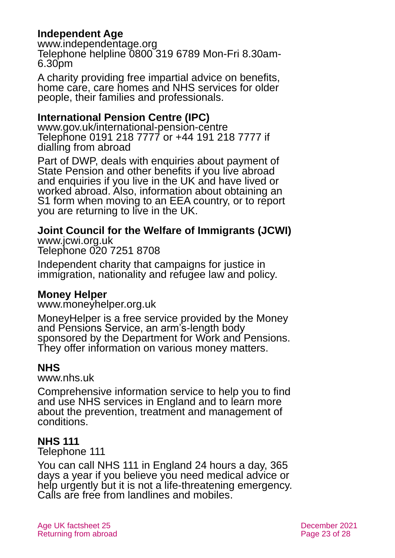#### **Independent Age**

[www.independentage.org](http://www.independentage.org/) Telephone helpline 0800 319 6789 Mon-Fri 8.30am-6.30pm

A charity providing free impartial advice on benefits, home care, care homes and NHS services for older people, their families and professionals.

#### **International Pension Centre (IPC)**

[www.gov.uk/international-pension-centre](http://www.gov.uk/international-pension-centre) Telephone 0191 218 7777 or +44 191 218 7777 if dialling from abroad

Part of DWP, deals with enquiries about payment of State Pension and other benefits if you live abroad and enquiries if you live in the UK and have lived or worked abroad. Also, information about obtaining an S1 form when moving to an EEA country, or to report you are returning to live in the UK.

# **Joint Council for the Welfare of Immigrants (JCWI)**

[www.jcwi.org.uk](http://www.jcwi.org.uk/) Telephone 020 7251 8708

Independent charity that campaigns for justice in immigration, nationality and refugee law and policy.

#### **Money Helper**

[www.moneyhelper.org.uk](http://www.moneyhelper.org.uk/)

MoneyHelper is a free service provided by the Money and Pensions Service, an arm's-length body sponsored by the Department for Work and Pensions. They offer information on various money matters.

#### **NHS**

[www.nhs.uk](http://www.nhs.uk/)

Comprehensive information service to help you to find and use NHS services in England and to learn more about the prevention, treatment and management of conditions.

#### <span id="page-22-0"></span>**NHS 111**

Telephone 111

You can call NHS 111 in England 24 hours a day, 365 days a year if you believe you need medical advice or help urgently but it is not a life-threatening emergency. Calls are free from landlines and mobiles.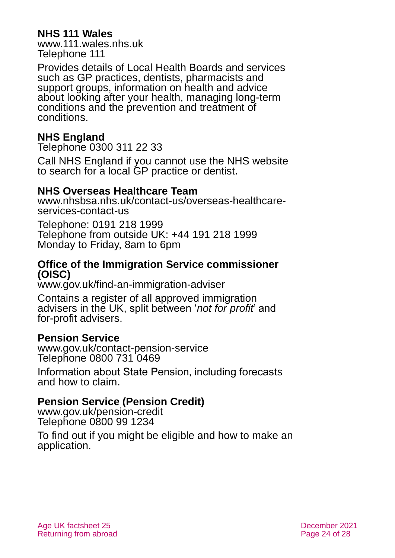#### <span id="page-23-2"></span>**NHS 111 Wales**

[www.111.wales.nhs.uk](http://www.111.wales.nhs.uk/) Telephone 111

Provides details of Local Health Boards and services such as GP practices, dentists, pharmacists and support groups, information on health and advice about looking after your health, managing long-term conditions and the prevention and treatment of conditions.

#### <span id="page-23-1"></span>**NHS England**

Telephone 0300 311 22 33

Call NHS England if you cannot use the NHS website to search for a local GP practice or dentist.

#### **NHS Overseas Healthcare Team**

[www.nhsbsa.nhs.uk/contact-us/overseas-healthcare](http://www.nhsbsa.nhs.uk/contact-us/overseas-healthcare-services-contact-us)[services-contact-us](http://www.nhsbsa.nhs.uk/contact-us/overseas-healthcare-services-contact-us)

Telephone: 0191 218 1999 Telephone from outside UK: +44 191 218 1999 Monday to Friday, 8am to 6pm

#### **Office of the Immigration Service commissioner (OISC)**

[www.gov.uk/find-an-immigration-adviser](http://www.gov.uk/find-an-immigration-adviser)

Contains a register of all approved immigration advisers in the UK, split between '*not for profit*' and for-profit advisers.

#### **Pension Service**

[www.gov.uk/contact-pension-service](http://www.gov.uk/contact-pension-service) Telephone 0800 731 0469

Information about State Pension, including forecasts and how to claim.

#### <span id="page-23-0"></span>**Pension Service (Pension Credit)**

[www.gov.uk/pension-credit](http://www.gov.uk/pension-credit) Telephone 0800 99 1234

To find out if you might be eligible and how to make an application.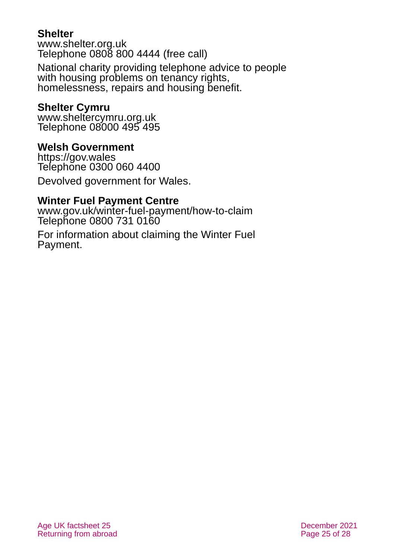#### <span id="page-24-1"></span>**Shelter**

[www.shelter.org.uk](http://www.shelter.org.uk/) Telephone 0808 800 4444 (free call)

National charity providing telephone advice to people with housing problems on tenancy rights, homelessness, repairs and housing benefit.

#### **Shelter Cymru**

[www.sheltercymru.org.uk](http://www.sheltercymru.org.uk/) Telephone 08000 495 495

#### **Welsh Government**

[https://gov.wales](https://gov.wales/) Telephone 0300 060 4400

Devolved government for Wales.

#### <span id="page-24-0"></span>**Winter Fuel Payment Centre**

[www.gov.uk/winter-fuel-payment/how-to-claim](http://www.gov.uk/winter-fuel-payment/how-to-claim) Telephone 0800 731 0160

For information about claiming the Winter Fuel Payment.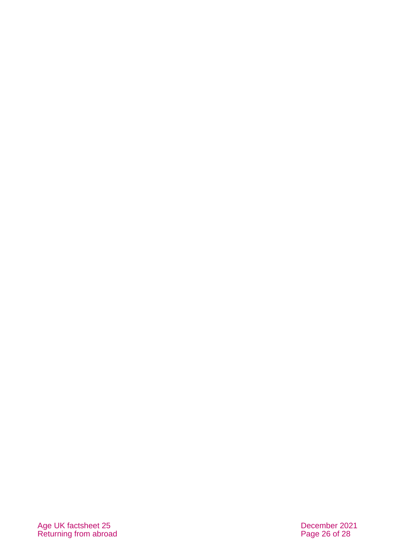Age UK factsheet 25 December 2021 Returning from abroad **Page 26 of 28 Page 26 of 28**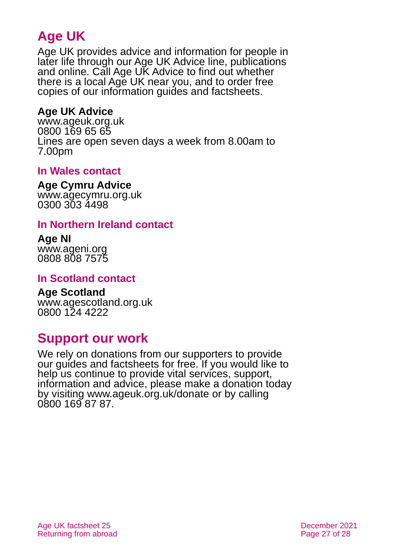# **Age UK**

Age UK provides advice and information for people in later life through our Age UK Advice line, publications and online. Call Age UK Advice to find out whether there is a local Age UK near you, and to order free copies of our information guides and factsheets.

#### <span id="page-26-1"></span>**Age UK Advice**

[www.ageuk.org.uk](http://www.ageuk.org.uk/) 0800 169 65 65 Lines are open seven days a week from 8.00am to 7.00pm

#### **In Wales contact**

#### **Age Cymru Advice**

[www.agecymru.org.uk](http://www.agecymru.org.uk/) 0300 303 4498

#### <span id="page-26-0"></span>**In Northern Ireland contact**

#### **Age NI** [www.ageni.org](http://www.ageni.org/)

0808 808 7575

#### **In Scotland contact**

# <span id="page-26-2"></span>**Age Scotland**

[www.agescotland.org.uk](http://www.agescotland.org.uk/) 0800 124 4222

### **Support our work**

We rely on donations from our supporters to provide our guides and factsheets for free. If you would like to help us continue to provide vital services, support, information and advice, please make a donation today by visiting [www.ageuk.org.uk/donate](http://www.ageuk.org.uk/donate) or by calling 0800 169 87 87.